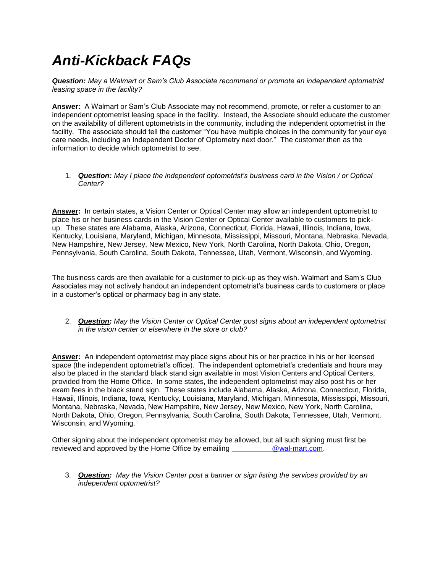## *Anti-Kickback FAQs*

*Question: May a Walmart or Sam's Club Associate recommend or promote an independent optometrist leasing space in the facility?*

**Answer:** A Walmart or Sam's Club Associate may not recommend, promote, or refer a customer to an independent optometrist leasing space in the facility. Instead, the Associate should educate the customer on the availability of different optometrists in the community, including the independent optometrist in the facility. The associate should tell the customer "You have multiple choices in the community for your eye care needs, including an Independent Doctor of Optometry next door." The customer then as the information to decide which optometrist to see.

## 1. *Question: May I place the independent optometrist's business card in the Vision / or Optical Center?*

**Answer:** In certain states, a Vision Center or Optical Center may allow an independent optometrist to place his or her business cards in the Vision Center or Optical Center available to customers to pickup. These states are Alabama, Alaska, Arizona, Connecticut, Florida, Hawaii, Illinois, Indiana, Iowa, Kentucky, Louisiana, Maryland, Michigan, Minnesota, Mississippi, Missouri, Montana, Nebraska, Nevada, New Hampshire, New Jersey, New Mexico, New York, North Carolina, North Dakota, Ohio, Oregon, Pennsylvania, South Carolina, South Dakota, Tennessee, Utah, Vermont, Wisconsin, and Wyoming.

The business cards are then available for a customer to pick-up as they wish. Walmart and Sam's Club Associates may not actively handout an independent optometrist's business cards to customers or place in a customer's optical or pharmacy bag in any state.

2. *Question: May the Vision Center or Optical Center post signs about an independent optometrist in the vision center or elsewhere in the store or club?*

**Answer:** An independent optometrist may place signs about his or her practice in his or her licensed space (the independent optometrist's office). The independent optometrist's credentials and hours may also be placed in the standard black stand sign available in most Vision Centers and Optical Centers, provided from the Home Office. In some states, the independent optometrist may also post his or her exam fees in the black stand sign. These states include Alabama, Alaska, Arizona, Connecticut, Florida, Hawaii, Illinois, Indiana, Iowa, Kentucky, Louisiana, Maryland, Michigan, Minnesota, Mississippi, Missouri, Montana, Nebraska, Nevada, New Hampshire, New Jersey, New Mexico, New York, North Carolina, North Dakota, Ohio, Oregon, Pennsylvania, South Carolina, South Dakota, Tennessee, Utah, Vermont, Wisconsin, and Wyoming.

Other signing about the independent optometrist may be allowed, but all such signing must first be reviewed and approved by the Home Office by emailing [\\_\\_\\_\\_\\_\\_\\_\\_\\_\\_@wal-mart.com.](mailto:__________@wal-mart.com)

3. *Question: May the Vision Center post a banner or sign listing the services provided by an independent optometrist?*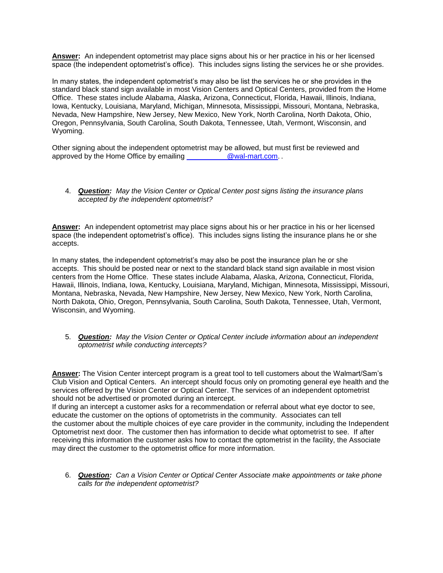**Answer:** An independent optometrist may place signs about his or her practice in his or her licensed space (the independent optometrist's office). This includes signs listing the services he or she provides.

In many states, the independent optometrist's may also be list the services he or she provides in the standard black stand sign available in most Vision Centers and Optical Centers, provided from the Home Office. These states include Alabama, Alaska, Arizona, Connecticut, Florida, Hawaii, Illinois, Indiana, Iowa, Kentucky, Louisiana, Maryland, Michigan, Minnesota, Mississippi, Missouri, Montana, Nebraska, Nevada, New Hampshire, New Jersey, New Mexico, New York, North Carolina, North Dakota, Ohio, Oregon, Pennsylvania, South Carolina, South Dakota, Tennessee, Utah, Vermont, Wisconsin, and Wyoming.

Other signing about the independent optometrist may be allowed, but must first be reviewed and approved by the Home Office by emailing [\\_\\_\\_\\_\\_\\_\\_\\_\\_\\_@wal-mart.com.](mailto:__________@wal-mart.com) .

## 4. *Question: May the Vision Center or Optical Center post signs listing the insurance plans accepted by the independent optometrist?*

**Answer:** An independent optometrist may place signs about his or her practice in his or her licensed space (the independent optometrist's office). This includes signs listing the insurance plans he or she accepts.

In many states, the independent optometrist's may also be post the insurance plan he or she accepts. This should be posted near or next to the standard black stand sign available in most vision centers from the Home Office. These states include Alabama, Alaska, Arizona, Connecticut, Florida, Hawaii, Illinois, Indiana, Iowa, Kentucky, Louisiana, Maryland, Michigan, Minnesota, Mississippi, Missouri, Montana, Nebraska, Nevada, New Hampshire, New Jersey, New Mexico, New York, North Carolina, North Dakota, Ohio, Oregon, Pennsylvania, South Carolina, South Dakota, Tennessee, Utah, Vermont, Wisconsin, and Wyoming.

5. *Question: May the Vision Center or Optical Center include information about an independent optometrist while conducting intercepts?* 

**Answer:** The Vision Center intercept program is a great tool to tell customers about the Walmart/Sam's Club Vision and Optical Centers. An intercept should focus only on promoting general eye health and the services offered by the Vision Center or Optical Center. The services of an independent optometrist should not be advertised or promoted during an intercept.

If during an intercept a customer asks for a recommendation or referral about what eye doctor to see, educate the customer on the options of optometrists in the community. Associates can tell the customer about the multiple choices of eye care provider in the community, including the Independent Optometrist next door. The customer then has information to decide what optometrist to see. If after receiving this information the customer asks how to contact the optometrist in the facility, the Associate may direct the customer to the optometrist office for more information.

6. *Question: Can a Vision Center or Optical Center Associate make appointments or take phone calls for the independent optometrist?*